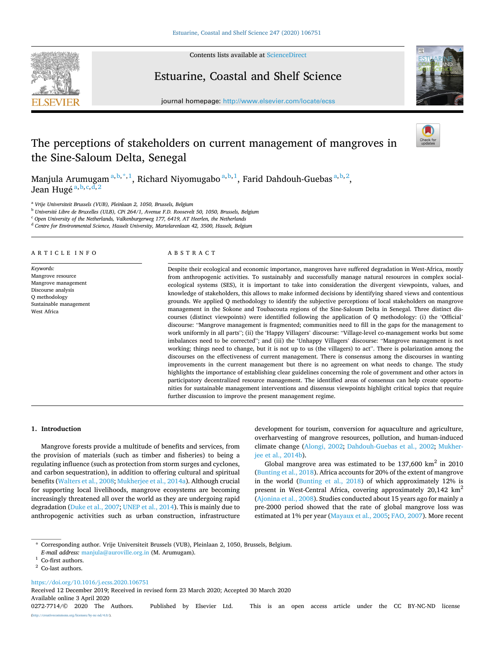

Contents lists available at [ScienceDirect](www.sciencedirect.com/science/journal/02727714)

# Estuarine, Coastal and Shelf Science



journal homepage: [http://www.elsevier.com/locate/ecss](https://http://www.elsevier.com/locate/ecss)

# The perceptions of stakeholders on current management of mangroves in the Sine-Saloum Delta, Senegal

Manjula Arumugam $a,b,*,1$ , Richard Niyomugabo $a,b,1$ , Farid Dahdouh-Guebas $a,b,2$ , Jean Hugé<sup>a,b,c,d,2</sup>

<sup>a</sup> *Vrije Universiteit Brussels (VUB), Pleinlaan 2, 1050, Brussels, Belgium* 

<sup>b</sup> *Universit*´*e Libre de Bruxelles (ULB), CPi 264/1, Avenue F.D. Roosevelt 50, 1050, Brussels, Belgium* 

<sup>c</sup> *Open University of the Netherlands, Valkenburgerweg 177, 6419, AT Heerlen, the Netherlands* 

<sup>d</sup> *Centre for Environmental Science, Hasselt University, Martelarenlaan 42, 3500, Hasselt, Belgium* 

ARTICLE INFO

*Keywords:*  Mangrove resource Mangrove management Discourse analysis Q methodology Sustainable management West Africa

# ABSTRACT

Despite their ecological and economic importance, mangroves have suffered degradation in West-Africa, mostly from anthropogenic activities. To sustainably and successfully manage natural resources in complex socialecological systems (SES), it is important to take into consideration the divergent viewpoints, values, and knowledge of stakeholders, this allows to make informed decisions by identifying shared views and contentious grounds. We applied Q methodology to identify the subjective perceptions of local stakeholders on mangrove management in the Sokone and Toubacouta regions of the Sine-Saloum Delta in Senegal. Three distinct discourses (distinct viewpoints) were identified following the application of Q methodology: (i) the 'Official' discourse: "Mangrove management is fragmented; communities need to fill in the gaps for the management to work uniformly in all parts"; (ii) the 'Happy Villagers' discourse: "Village-level co-management works but some imbalances need to be corrected"; and (iii) the 'Unhappy Villagers' discourse: "Mangrove management is not working; things need to change, but it is not up to us (the villagers) to act". There is polarization among the discourses on the effectiveness of current management. There is consensus among the discourses in wanting improvements in the current management but there is no agreement on what needs to change. The study highlights the importance of establishing clear guidelines concerning the role of government and other actors in participatory decentralized resource management. The identified areas of consensus can help create opportunities for sustainable management interventions and dissensus viewpoints highlight critical topics that require further discussion to improve the present management regime.

# **1. Introduction**

Mangrove forests provide a multitude of benefits and services, from the provision of materials (such as timber and fisheries) to being a regulating influence (such as protection from storm surges and cyclones, and carbon sequestration), in addition to offering cultural and spiritual benefits ([Walters et al., 2008](#page-10-0); [Mukherjee et al., 2014a](#page-9-0)). Although crucial for supporting local livelihoods, mangrove ecosystems are becoming increasingly threatened all over the world as they are undergoing rapid degradation ([Duke et al., 2007;](#page-9-0) [UNEP et al., 2014](#page-10-0)). This is mainly due to anthropogenic activities such as urban construction, infrastructure development for tourism, conversion for aquaculture and agriculture, overharvesting of mangrove resources, pollution, and human-induced climate change [\(Alongi, 2002;](#page-9-0) [Dahdouh-Guebas et al., 2002;](#page-9-0) [Mukher](#page-9-0)[jee et al., 2014b\)](#page-9-0).

Global mangrove area was estimated to be  $137,600 \text{ km}^2$  in 2010 ([Bunting et al., 2018\)](#page-9-0). Africa accounts for 20% of the extent of mangrove in the world ([Bunting et al., 2018\)](#page-9-0) of which approximately 12% is present in West-Central Africa, covering approximately 20,142 km2 ([Ajonina et al., 2008](#page-9-0)). Studies conducted about 15 years ago for mainly a pre-2000 period showed that the rate of global mangrove loss was estimated at 1% per year ([Mayaux et al., 2005; FAO, 2007](#page-9-0)). More recent

<https://doi.org/10.1016/j.ecss.2020.106751>

Available online 3 April 2020 Received 12 December 2019; Received in revised form 23 March 2020; Accepted 30 March 2020

0272-7714/© 2020 The Authors. Published by Elsevier Ltd. This is an open access article under the CC BY-NC-ND license [\(http://creativecommons.org/licenses/by-nc-nd/4.0/\)](http://creativecommons.org/licenses/by-nc-nd/4.0/).

<sup>\*</sup> Corresponding author. Vrije Universiteit Brussels (VUB), Pleinlaan 2, 1050, Brussels, Belgium.

*E-mail address:* [manjula@auroville.org.in](mailto:manjula@auroville.org.in) (M. Arumugam).<br><sup>1</sup> Co-first authors.<br><sup>2</sup> Co-last authors.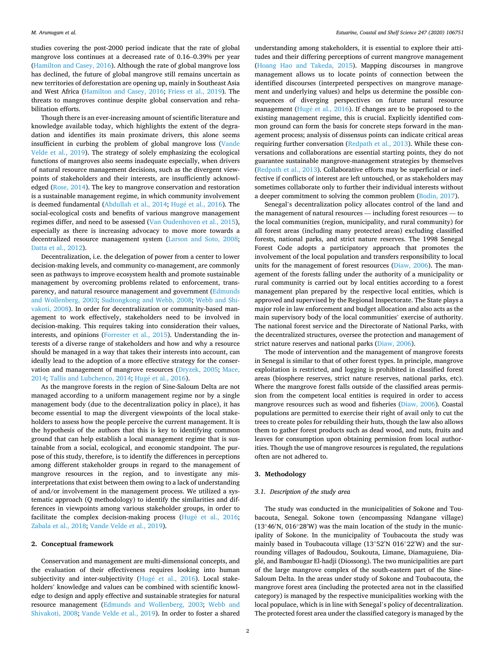studies covering the post-2000 period indicate that the rate of global mangrove loss continues at a decreased rate of 0.16–0.39% per year ([Hamilton and Casey, 2016\)](#page-9-0). Although the rate of global mangrove loss has declined, the future of global mangrove still remains uncertain as new territories of deforestation are opening up, mainly in Southeast Asia and West Africa [\(Hamilton and Casey, 2016](#page-9-0); [Friess et al., 2019](#page-9-0)). The threats to mangroves continue despite global conservation and rehabilitation efforts.

Though there is an ever-increasing amount of scientific literature and knowledge available today, which highlights the extent of the degradation and identifies its main proximate drivers, this alone seems insufficient in curbing the problem of global mangrove loss [\(Vande](#page-10-0)  [Velde et al., 2019](#page-10-0)). The strategy of solely emphasizing the ecological functions of mangroves also seems inadequate especially, when drivers of natural resource management decisions, such as the divergent viewpoints of stakeholders and their interests, are insufficiently acknowledged ([Rose, 2014\)](#page-10-0). The key to mangrove conservation and restoration is a sustainable management regime, in which community involvement is deemed fundamental ([Abdullah et al., 2014](#page-9-0); Hugé et al., 2016). The social-ecological costs and benefits of various mangrove management regimes differ, and need to be assessed ([Van Oudenhoven et al., 2015](#page-10-0)), especially as there is increasing advocacy to move more towards a decentralized resource management system ([Larson and Soto, 2008](#page-9-0); [Datta et al., 2012](#page-9-0)).

Decentralization, i.e. the delegation of power from a center to lower decision-making levels, and community co-management, are commonly seen as pathways to improve ecosystem health and promote sustainable management by overcoming problems related to enforcement, transparency, and natural resource management and government [\(Edmunds](#page-9-0)  [and Wollenberg, 2003](#page-9-0); [Sudtongkong and Webb, 2008;](#page-10-0) [Webb and Shi](#page-10-0)[vakoti, 2008\)](#page-10-0). In order for decentralization or community-based management to work effectively, stakeholders need to be involved in decision-making. This requires taking into consideration their values, interests, and opinions [\(Forrester et al., 2015\)](#page-9-0). Understanding the interests of a diverse range of stakeholders and how and why a resource should be managed in a way that takes their interests into account, can ideally lead to the adoption of a more effective strategy for the conservation and management of mangrove resources ([Dryzek, 2005;](#page-9-0) [Mace,](#page-9-0)  [2014;](#page-9-0) [Tallis and Lubchenco, 2014;](#page-10-0) Hugé et al., 2016).

As the mangrove forests in the region of Sine-Saloum Delta are not managed according to a uniform management regime nor by a single management body (due to the decentralization policy in place), it has become essential to map the divergent viewpoints of the local stakeholders to assess how the people perceive the current management. It is the hypothesis of the authors that this is key to identifying common ground that can help establish a local management regime that is sustainable from a social, ecological, and economic standpoint. The purpose of this study, therefore, is to identify the differences in perceptions among different stakeholder groups in regard to the management of mangrove resources in the region, and to investigate any misinterpretations that exist between them owing to a lack of understanding of and/or involvement in the management process. We utilized a systematic approach (Q methodology) to identify the similarities and differences in viewpoints among various stakeholder groups, in order to facilitate the complex decision-making process (Hugé et al., 2016; [Zabala et al., 2018; Vande Velde et al., 2019\)](#page-10-0).

#### **2. Conceptual framework**

Conservation and management are multi-dimensional concepts, and the evaluation of their effectiveness requires looking into human subjectivity and inter-subjectivity (Hugé et al., 2016). Local stakeholders' knowledge and values can be combined with scientific knowledge to design and apply effective and sustainable strategies for natural resource management ([Edmunds and Wollenberg, 2003](#page-9-0); [Webb and](#page-10-0)  [Shivakoti, 2008;](#page-10-0) [Vande Velde et al., 2019\)](#page-10-0). In order to foster a shared

understanding among stakeholders, it is essential to explore their attitudes and their differing perceptions of current mangrove management ([Hoang Hao and Takeda, 2015\)](#page-9-0). Mapping discourses in mangrove management allows us to locate points of connection between the identified discourses (interpreted perspectives on mangrove management and underlying values) and helps us determine the possible consequences of diverging perspectives on future natural resource management (Hugé et al., 2016). If changes are to be proposed to the existing management regime, this is crucial. Explicitly identified common ground can form the basis for concrete steps forward in the management process; analysis of dissensus points can indicate critical areas requiring further conversation [\(Redpath et al., 2013](#page-10-0)). While these conversations and collaborations are essential starting points, they do not guarantee sustainable mangrove-management strategies by themselves ([Redpath et al., 2013\)](#page-10-0). Collaborative efforts may be superficial or ineffective if conflicts of interest are left untouched, or as stakeholders may sometimes collaborate only to further their individual interests without a deeper commitment to solving the common problem ([Bodin, 2017\)](#page-9-0).

Senegal's decentralization policy allocates control of the land and the management of natural resources — including forest resources — to the local communities (region, municipality, and rural community) for all forest areas (including many protected areas) excluding classified forests, national parks, and strict nature reserves. The 1998 Senegal Forest Code adopts a participatory approach that promotes the involvement of the local population and transfers responsibility to local units for the management of forest resources ([Diaw, 2006](#page-9-0)). The management of the forests falling under the authority of a municipality or rural community is carried out by local entities according to a forest management plan prepared by the respective local entities, which is approved and supervised by the Regional Inspectorate. The State plays a major role in law enforcement and budget allocation and also acts as the main supervisory body of the local communities' exercise of authority. The national forest service and the Directorate of National Parks, with the decentralized structures, oversee the protection and management of strict nature reserves and national parks [\(Diaw, 2006](#page-9-0)).

The mode of intervention and the management of mangrove forests in Senegal is similar to that of other forest types. In principle, mangrove exploitation is restricted, and logging is prohibited in classified forest areas (biosphere reserves, strict nature reserves, national parks, etc). Where the mangrove forest falls outside of the classified areas permission from the competent local entities is required in order to access mangrove resources such as wood and fisheries ([Diaw, 2006\)](#page-9-0). Coastal populations are permitted to exercise their right of avail only to cut the trees to create poles for rebuilding their huts, though the law also allows them to gather forest products such as dead wood, and nuts, fruits and leaves for consumption upon obtaining permission from local authorities. Though the use of mangrove resources is regulated, the regulations often are not adhered to.

## **3. Methodology**

## *3.1. Description of the study area*

The study was conducted in the municipalities of Sokone and Toubacouta, Senegal. Sokone town (encompassing Ndangane village) (13◦46′ N, 016◦28′ W) was the main location of the study in the municipality of Sokone. In the municipality of Toubacouta the study was mainly based in Toubacouta village (13◦52′ N 016◦22′ W) and the surrounding villages of Badoudou, Soukouta, Limane, Diamaguiene, Diaglé, and Bambougar El-hadji (Diossong). The two municipalities are part of the large mangrove complex of the south-eastern part of the Sine-Saloum Delta. In the areas under study of Sokone and Toubacouta, the mangrove forest area (including the protected area not in the classified category) is managed by the respective municipalities working with the local populace, which is in line with Senegal's policy of decentralization. The protected forest area under the classified category is managed by the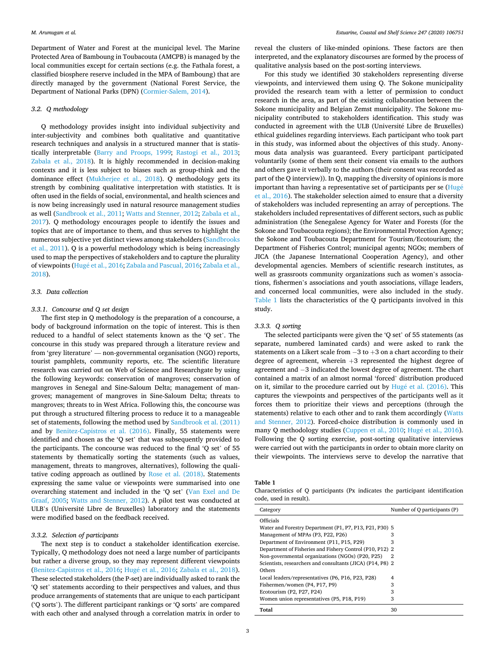Department of Water and Forest at the municipal level. The Marine Protected Area of Bamboung in Toubacouta (AMCPB) is managed by the local communities except for certain sections (e.g. the Fathala forest, a classified biosphere reserve included in the MPA of Bamboung) that are directly managed by the government (National Forest Service, the Department of National Parks (DPN) ([Cormier-Salem, 2014\)](#page-9-0).

## *3.2. Q methodology*

Q methodology provides insight into individual subjectivity and inter-subjectivity and combines both qualitative and quantitative research techniques and analysis in a structured manner that is statistically interpretable ([Barry and Proops, 1999;](#page-9-0) [Rastogi et al., 2013](#page-10-0); [Zabala et al., 2018\)](#page-10-0). It is highly recommended in decision-making contexts and it is less subject to biases such as group-think and the dominance effect [\(Mukherjee et al., 2018](#page-9-0)). Q methodology gets its strength by combining qualitative interpretation with statistics. It is often used in the fields of social, environmental, and health sciences and is now being increasingly used in natural resource management studies as well [\(Sandbrook et al., 2011](#page-10-0); [Watts and Stenner, 2012; Zabala et al.,](#page-10-0)  [2017\)](#page-10-0). Q methodology encourages people to identify the issues and topics that are of importance to them, and thus serves to highlight the numerous subjective yet distinct views among stakeholders ([Sandbrooks](#page-10-0)  [et al., 2011](#page-10-0)). Q is a powerful methodology which is being increasingly used to map the perspectives of stakeholders and to capture the plurality of viewpoints (Hugé et al., 2016; [Zabala and Pascual, 2016](#page-10-0); Zabala et al., [2018\)](#page-10-0).

#### *3.3. Data collection*

#### *3.3.1. Concourse and Q set design*

The first step in Q methodology is the preparation of a concourse, a body of background information on the topic of interest. This is then reduced to a handful of select statements known as the 'Q set'. The concourse in this study was prepared through a literature review and from 'grey literature' — non-governmental organisation (NGO) reports, tourist pamphlets, community reports, etc. The scientific literature research was carried out on Web of Science and Researchgate by using the following keywords: conservation of mangroves; conservation of mangroves in Senegal and Sine-Saloum Delta; management of mangroves; management of mangroves in Sine-Saloum Delta; threats to mangroves; threats to in West Africa. Following this, the concourse was put through a structured filtering process to reduce it to a manageable set of statements, following the method used by [Sandbrook et al. \(2011\)](#page-10-0)  and by [Benitez-Capistros et al. \(2016\).](#page-9-0) Finally, 55 statements were identified and chosen as the 'Q set' that was subsequently provided to the participants. The concourse was reduced to the final 'Q set' of 55 statements by thematically sorting the statements (such as values, management, threats to mangroves, alternatives), following the qualitative coding approach as outlined by [Rose et al. \(2018\).](#page-10-0) Statements expressing the same value or viewpoints were summarised into one overarching statement and included in the 'Q set' ([Van Exel and De](#page-10-0)  [Graaf, 2005](#page-10-0); [Watts and Stenner, 2012\)](#page-10-0). A pilot test was conducted at ULB's (Université Libre de Bruxelles) laboratory and the statements were modified based on the feedback received.

#### *3.3.2. Selection of participants*

The next step is to conduct a stakeholder identification exercise. Typically, Q methodology does not need a large number of participants but rather a diverse group, so they may represent different viewpoints ([Benitez-Capistros et al., 2016;](#page-9-0) Hugé et al., 2016; [Zabala et al., 2018](#page-10-0)). These selected stakeholders (the P-set) are individually asked to rank the 'Q set' statements according to their perspectives and values, and thus produce arrangements of statements that are unique to each participant ('Q sorts'). The different participant rankings or 'Q sorts' are compared with each other and analysed through a correlation matrix in order to

reveal the clusters of like-minded opinions. These factors are then interpreted, and the explanatory discourses are formed by the process of qualitative analysis based on the post-sorting interviews.

For this study we identified 30 stakeholders representing diverse viewpoints, and interviewed them using Q. The Sokone municipality provided the research team with a letter of permission to conduct research in the area, as part of the existing collaboration between the Sokone municipality and Belgian Zemst municipality. The Sokone municipality contributed to stakeholders identification. This study was conducted in agreement with the ULB (Université Libre de Bruxelles) ethical guidelines regarding interviews. Each participant who took part in this study, was informed about the objectives of this study. Anonymous data analysis was guaranteed. Every participant participated voluntarily (some of them sent their consent via emails to the authors and others gave it verbally to the authors (their consent was recorded as part of the Q interview)). In Q, mapping the diversity of opinions is more important than having a representative set of participants per se  $(Hug\acute{e}$  $(Hug\acute{e}$ [et al., 2016\)](#page-9-0). The stakeholder selection aimed to ensure that a diversity of stakeholders was included representing an array of perceptions. The stakeholders included representatives of different sectors, such as public administration (the Senegalese Agency for Water and Forests (for the Sokone and Toubacouta regions); the Environmental Protection Agency; the Sokone and Toubacouta Department for Tourism/Ecotourism; the Department of Fisheries Control; municipal agents; NGOs; members of JICA (the Japanese International Cooperation Agency), and other developmental agencies. Members of scientific research institutes, as well as grassroots community organizations such as women's associations, fishermen's associations and youth associations, village leaders, and concerned local communities, were also included in the study. Table 1 lists the characteristics of the Q participants involved in this study.

#### *3.3.3. Q sorting*

The selected participants were given the 'Q set' of 55 statements (as separate, numbered laminated cards) and were asked to rank the statements on a Likert scale from  $-3$  to  $+3$  on a chart according to their degree of agreement, wherein +3 represented the highest degree of agreement and − 3 indicated the lowest degree of agreement. The chart contained a matrix of an almost normal 'forced' distribution produced on it, similar to the procedure carried out by  $Hugé$  et al. (2016). This captures the viewpoints and perspectives of the participants well as it forces them to prioritize their views and perceptions (through the statements) relative to each other and to rank them accordingly ([Watts](#page-10-0)  [and Stenner, 2012](#page-10-0)). Forced-choice distribution is commonly used in many Q methodology studies ([Cuppen et al., 2010;](#page-9-0) Hugé et al., 2016). Following the Q sorting exercise, post-sorting qualitative interviews were carried out with the participants in order to obtain more clarity on their viewpoints. The interviews serve to develop the narrative that

**Table 1** 

Characteristics of Q participants (Px indicates the participant identification code, used in result).

| Category                                                   | Number of Q participants (P) |
|------------------------------------------------------------|------------------------------|
| Officials                                                  |                              |
| Water and Forestry Department (P1, P7, P13, P21, P30) 5    |                              |
| Management of MPAs (P3, P22, P26)                          | 3                            |
| Department of Environment (P11, P15, P29)                  | 3                            |
| Department of Fisheries and Fishery Control (P10, P12) 2   |                              |
| Non-governmental organizations (NGOs) (P20, P25)           | 2                            |
| Scientists, researchers and consultants (JICA) (P14, P8) 2 |                              |
| Others                                                     |                              |
| Local leaders/representatives (P6, P16, P23, P28)          | 4                            |
| Fishermen/women (P4, P17, P9)                              | 3                            |
| Ecotourism (P2, P27, P24)                                  | 3                            |
| Women union representatives (P5, P18, P19)                 | 3                            |
| Total                                                      | 30                           |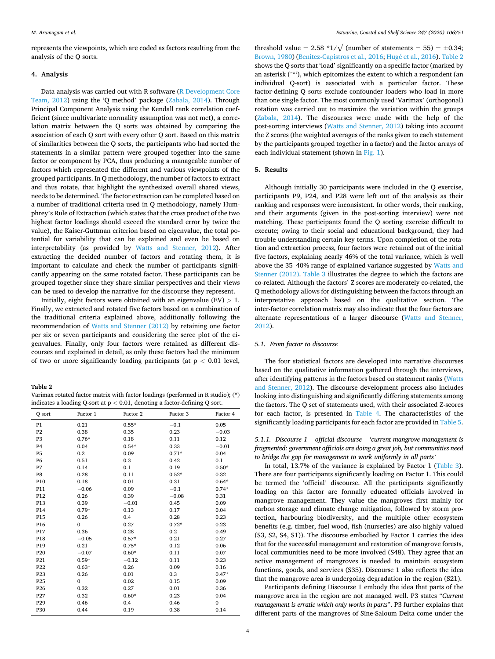represents the viewpoints, which are coded as factors resulting from the analysis of the Q sorts.

## **4. Analysis**

Data analysis was carried out with R software ([R Development Core](#page-9-0)  [Team, 2012\)](#page-9-0) using the 'Q method' package ([Zabala, 2014\)](#page-10-0). Through Principal Component Analysis using the Kendall rank correlation coefficient (since multivariate normality assumption was not met), a correlation matrix between the Q sorts was obtained by comparing the association of each Q sort with every other Q sort. Based on this matrix of similarities between the Q sorts, the participants who had sorted the statements in a similar pattern were grouped together into the same factor or component by PCA, thus producing a manageable number of factors which represented the different and various viewpoints of the grouped participants. In Q methodology, the number of factors to extract and thus rotate, that highlight the synthesized overall shared views, needs to be determined. The factor extraction can be completed based on a number of traditional criteria used in Q methodology, namely Humphrey's Rule of Extraction (which states that the cross product of the two highest factor loadings should exceed the standard error by twice the value), the Kaiser-Guttman criterion based on eigenvalue, the total potential for variability that can be explained and even be based on interpretability (as provided by [Watts and Stenner, 2012](#page-10-0)). After extracting the decided number of factors and rotating them, it is important to calculate and check the number of participants significantly appearing on the same rotated factor. These participants can be grouped together since they share similar perspectives and their views can be used to develop the narrative for the discourse they represent.

Initially, eight factors were obtained with an eigenvalue (EV) *>* 1. Finally, we extracted and rotated five factors based on a combination of the traditional criteria explained above, additionally following the recommendation of [Watts and Stenner \(2012\)](#page-10-0) by retaining one factor per six or seven participants and considering the scree plot of the eigenvalues. Finally, only four factors were retained as different discourses and explained in detail, as only these factors had the minimum of two or more significantly loading participants (at p *<* 0.01 level,

**Table 2** 

| Varimax rotated factor matrix with factor loadings (performed in R studio); $(*)$ |
|-----------------------------------------------------------------------------------|
| indicates a loading Q-sort at $p < 0.01$ , denoting a factor-defining Q sort.     |

| O sort          | Factor 1     | Factor 2 | Factor 3 | Factor 4 |
|-----------------|--------------|----------|----------|----------|
| P <sub>1</sub>  | 0.21         | $0.55*$  | $-0.1$   | 0.05     |
| P <sub>2</sub>  | 0.38         | 0.35     | 0.23     | $-0.03$  |
| P <sub>3</sub>  | $0.76*$      | 0.18     | 0.11     | 0.12     |
| P <sub>4</sub>  | 0.04         | $0.54*$  | 0.33     | $-0.01$  |
| P <sub>5</sub>  | 0.2          | 0.09     | $0.71*$  | 0.04     |
| <b>P6</b>       | 0.51         | 0.3      | 0.42     | 0.1      |
| P7              | 0.14         | 0.1      | 0.19     | $0.50*$  |
| P8              | 0.28         | 0.11     | $0.52*$  | 0.32     |
| P10             | 0.18         | 0.01     | 0.31     | $0.64*$  |
| P11             | $-0.06$      | 0.09     | $-0.1$   | $0.74*$  |
| P12             | 0.26         | 0.39     | $-0.08$  | 0.31     |
| P13             | 0.39         | $-0.01$  | 0.45     | 0.09     |
| P14             | $0.79*$      | 0.13     | 0.17     | 0.04     |
| P15             | 0.26         | 0.4      | 0.28     | 0.23     |
| P <sub>16</sub> | $\mathbf{0}$ | 0.27     | $0.72*$  | 0.23     |
| P17             | 0.36         | 0.28     | 0.2      | 0.49     |
| P18             | $-0.05$      | $0.57*$  | 0.21     | 0.27     |
| P19             | 0.21         | $0.75*$  | 0.12     | 0.06     |
| P <sub>20</sub> | $-0.07$      | $0.60*$  | 0.11     | 0.07     |
| P21             | $0.59*$      | $-0.12$  | 0.11     | 0.23     |
| P <sub>22</sub> | $0.63*$      | 0.26     | 0.09     | 0.16     |
| P <sub>23</sub> | 0.26         | 0.01     | 0.3      | $0.47*$  |
| P <sub>25</sub> | $\mathbf{0}$ | 0.02     | 0.15     | 0.09     |
| P <sub>26</sub> | 0.32         | 0.27     | 0.01     | 0.36     |
| P <sub>27</sub> | 0.32         | $0.60*$  | 0.23     | 0.04     |
| P <sub>29</sub> | 0.46         | 0.4      | 0.46     | 0        |
| P30             | 0.44         | 0.19     | 0.38     | 0.14     |

threshold value = 2.58  $*1/\sqrt{ }$  (number of statements = 55) =  $\pm 0.34$ ; [Brown, 1980\)](#page-9-0) [\(Benitez-Capistros et al., 2016](#page-9-0); Hugé et al., 2016). Table 2 shows the Q sorts that 'load' significantly on a specific factor (marked by an asterisk ('\*'), which epitomizes the extent to which a respondent (an individual Q-sort) is associated with a particular factor. These factor-defining Q sorts exclude confounder loaders who load in more than one single factor. The most commonly used 'Varimax' (orthogonal) rotation was carried out to maximize the variation within the groups ([Zabala, 2014\)](#page-10-0). The discourses were made with the help of the post-sorting interviews ([Watts and Stenner, 2012](#page-10-0)) taking into account the Z scores (the weighted averages of the ranks given to each statement by the participants grouped together in a factor) and the factor arrays of each individual statement (shown in [Fig. 1\)](#page-4-0).

#### **5. Results**

Although initially 30 participants were included in the Q exercise, participants P9, P24, and P28 were left out of the analysis as their ranking and responses were inconsistent. In other words, their ranking, and their arguments (given in the post-sorting interview) were not matching. These participants found the Q sorting exercise difficult to execute; owing to their social and educational background, they had trouble understanding certain key terms. Upon completion of the rotation and extraction process, four factors were retained out of the initial five factors, explaining nearly 46% of the total variance, which is well above the 35–40% range of explained variance suggested by [Watts and](#page-10-0)  [Stenner \(2012\)](#page-10-0). [Table 3](#page-4-0) illustrates the degree to which the factors are co-related. Although the factors' Z scores are moderately co-related, the Q methodology allows for distinguishing between the factors through an interpretative approach based on the qualitative section. The inter-factor correlation matrix may also indicate that the four factors are alternate representations of a larger discourse [\(Watts and Stenner,](#page-10-0)  [2012\)](#page-10-0).

## *5.1. From factor to discourse*

The four statistical factors are developed into narrative discourses based on the qualitative information gathered through the interviews, after identifying patterns in the factors based on statement ranks ([Watts](#page-10-0)  [and Stenner, 2012\)](#page-10-0). The discourse development process also includes looking into distinguishing and significantly differing statements among the factors. The Q set of statements used, with their associated Z-scores for each factor, is presented in [Table 4](#page-5-0). The characteristics of the significantly loading participants for each factor are provided in [Table 5](#page-6-0).

*5.1.1. Discourse 1* – *official discourse* – *'current mangrove management is fragmented: government officials are doing a great job, but communities need to bridge the gap for management to work uniformly in all parts'* 

In total, 13.7% of the variance is explained by Factor 1 [\(Table 3](#page-4-0)). There are four participants significantly loading on Factor 1. This could be termed the 'official' discourse. All the participants significantly loading on this factor are formally educated officials involved in mangrove management. They value the mangroves first mainly for carbon storage and climate change mitigation, followed by storm protection, harbouring biodiversity, and the multiple other ecosystem benefits (e.g. timber, fuel wood, fish (nurseries) are also highly valued (S3, S2, S4, S1)). The discourse embodied by Factor 1 carries the idea that for the successful management and restoration of mangrove forests, local communities need to be more involved (S48). They agree that an active management of mangroves is needed to maintain ecosystem functions, goods, and services (S35). Discourse 1 also reflects the idea that the mangrove area is undergoing degradation in the region (S21).

Participants defining Discourse 1 embody the idea that parts of the mangrove area in the region are not managed well. P3 states "*Current management is erratic which only works in parts*". P3 further explains that different parts of the mangroves of Sine-Saloum Delta come under the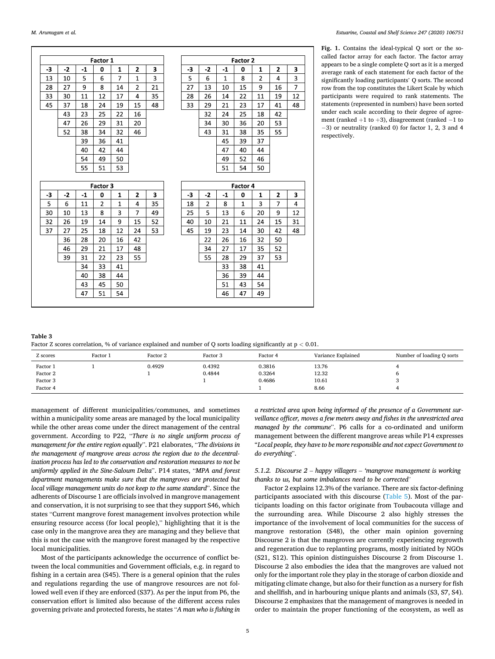<span id="page-4-0"></span>

|      |      |      | Factor 1       |              |                |    |      |                |              | Factor 2     |                |                |                |
|------|------|------|----------------|--------------|----------------|----|------|----------------|--------------|--------------|----------------|----------------|----------------|
| -3   | $-2$ | $-1$ | 0              | 1            | $\overline{2}$ | 3  | -3   | $-2$           | $-1$         | 0            | $\mathbf{1}$   | $\overline{2}$ | 3              |
| 13   | 10   | 5    | 6              | 7            | $\mathbf{1}$   | 3  | 5    | 6              | $\mathbf{1}$ | 8            | $\overline{2}$ | 4              | 3              |
| 28   | 27   | 9    | 8              | 14           | 2              | 21 | 27   | 13             | 10           | 15           | 9              | 16             | $\overline{7}$ |
| 33   | 30   | 11   | 12             | 17           | 4              | 35 | 28   | 26             | 14           | 22           | 11             | 19             | 12             |
| 45   | 37   | 18   | 24             | 19           | 15             | 48 | 33   | 29             | 21           | 23           | 17             | 41             | 48             |
|      | 43   | 23   | 25             | 22           | 16             |    |      | 32             | 24           | 25           | 18             | 42             |                |
|      | 47   | 26   | 29             | 31           | 20             |    |      | 34             | 30           | 36           | 20             | 53             |                |
|      | 52   | 38   | 34             | 32           | 46             |    |      | 43             | 31           | 38           | 35             | 55             |                |
|      |      | 39   | 36             | 41           |                |    |      |                | 45           | 39           | 37             |                |                |
|      |      | 40   | 42             | 44           |                |    |      |                | 47           | 40           | 44             |                |                |
|      |      | 54   | 49             | 50           |                |    |      |                | 49           | 52           | 46             |                |                |
|      |      | 55   | 51             | 53           |                |    |      |                | 51           | 54           | 50             |                |                |
|      |      |      | Factor 3       |              |                |    |      |                |              | Factor 4     |                |                |                |
|      |      |      |                |              |                |    |      | $-2$           |              |              |                |                | 3              |
| $-3$ | $-2$ | $-1$ | $\mathbf 0$    | 1            | $\overline{2}$ | 3  | $-3$ |                | $-1$         | 0            | 1              | $\overline{2}$ |                |
| 5    | 6    | 11   | $\overline{2}$ | $\mathbf{1}$ | 4              | 35 | 18   | $\overline{2}$ | 8            | $\mathbf{1}$ | 3              | $\overline{7}$ | 4              |
| 30   | 10   | 13   | 8              | 3            | $\overline{7}$ | 49 | 25   | 5              | 13           | 6            | 20             | 9              | 12             |
| 32   | 26   | 19   | 14             | 9            | 15             | 52 | 40   | 10             | 21           | 11           | 24             | 15             | 31             |
| 37   | 27   | 25   | 18             | 12           | 24             | 53 | 45   | 19             | 23           | 14           | 30             | 42             | 48             |
|      | 36   | 28   | 20             | 16           | 42             |    |      | 22             | 26           | 16           | 32             | 50             |                |
|      | 46   | 29   | 21             | 17           | 48             |    |      | 34             | 27           | 17           | 35             | 52             |                |
|      | 39   | 31   | 22             | 23           | 55             |    |      | 55             | 28           | 29           | 37             | 53             |                |
|      |      | 34   | 33             | 41           |                |    |      |                | 33           | 38           | 41             |                |                |
|      |      | 40   | 38             | 44           |                |    |      |                | 36           | 39           | 44             |                |                |
|      |      | 43   | 45             | 50           |                |    |      |                | 51           | 43           | 54             |                |                |

**Fig. 1.** Contains the ideal-typical Q sort or the socalled factor array for each factor. The factor array appears to be a single complete Q sort as it is a merged average rank of each statement for each factor of the significantly loading participants' Q sorts. The second row from the top constitutes the Likert Scale by which participants were required to rank statements. The statements (represented in numbers) have been sorted under each scale according to their degree of agreement (ranked  $+1$  to  $+3$ ), disagreement (ranked  $-1$  to − 3) or neutrality (ranked 0) for factor 1, 2, 3 and 4 respectively.

| Table 3                                                                                                          |  |  |
|------------------------------------------------------------------------------------------------------------------|--|--|
| Factor Z scores correlation, % of variance explained and number of Q sorts loading significantly at $p < 0.01$ . |  |  |

| Z scores                                     | Factor 1 | Factor 2 | Factor 3         | Factor 4                   | Variance Explained              | Number of loading Q sorts |
|----------------------------------------------|----------|----------|------------------|----------------------------|---------------------------------|---------------------------|
| Factor 1<br>Factor 2<br>Factor 3<br>Factor 4 |          | 0.4929   | 0.4392<br>0.4844 | 0.3816<br>0.3264<br>0.4686 | 13.76<br>12.32<br>10.61<br>8.66 |                           |

management of different municipalities/communes, and sometimes within a municipality some areas are managed by the local municipality while the other areas come under the direct management of the central government. According to P22, "*There is no single uniform process of management for the entire region equally*". P21 elaborates, "*The divisions in the management of mangrove areas across the region due to the decentralization process has led to the conservation and restoration measures to not be uniformly applied in the Sine-Saloum Delta*". P14 states, "*MPA and forest department managements make sure that the mangroves are protected but local village management units do not keep to the same standard*". Since the adherents of Discourse 1 are officials involved in mangrove management and conservation, it is not surprising to see that they support S46, which states "Current mangrove forest management involves protection while ensuring resource access (for local people)," highlighting that it is the case only in the mangrove area they are managing and they believe that this is not the case with the mangrove forest managed by the respective local municipalities.

Most of the participants acknowledge the occurrence of conflict between the local communities and Government officials, e.g. in regard to fishing in a certain area (S45). There is a general opinion that the rules and regulations regarding the use of mangrove resources are not followed well even if they are enforced (S37). As per the input from P6, the conservation effort is limited also because of the different access rules governing private and protected forests, he states "*A man who is fishing in*  *a restricted area upon being informed of the presence of a Government surveillance officer, moves a few meters away and fishes in the unrestricted area managed by the commune*". P6 calls for a co-ordinated and uniform management between the different mangrove areas while P14 expresses "*Local people, they have to be more responsible and not expect Government to do everything*".

# *5.1.2. Discourse 2* – *happy villagers* – *'mangrove management is working thanks to us, but some imbalances need to be corrected'*

Factor 2 explains 12.3% of the variance. There are six factor-defining participants associated with this discourse [\(Table 5](#page-6-0)). Most of the participants loading on this factor originate from Toubacouta village and the surrounding area. While Discourse 2 also highly stresses the importance of the involvement of local communities for the success of mangrove restoration (S48), the other main opinion governing Discourse 2 is that the mangroves are currently experiencing regrowth and regeneration due to replanting programs, mostly initiated by NGOs (S21, S12). This opinion distinguishes Discourse 2 from Discourse 1. Discourse 2 also embodies the idea that the mangroves are valued not only for the important role they play in the storage of carbon dioxide and mitigating climate change, but also for their function as a nursery for fish and shellfish, and in harbouring unique plants and animals (S3, S7, S4). Discourse 2 emphasizes that the management of mangroves is needed in order to maintain the proper functioning of the ecosystem, as well as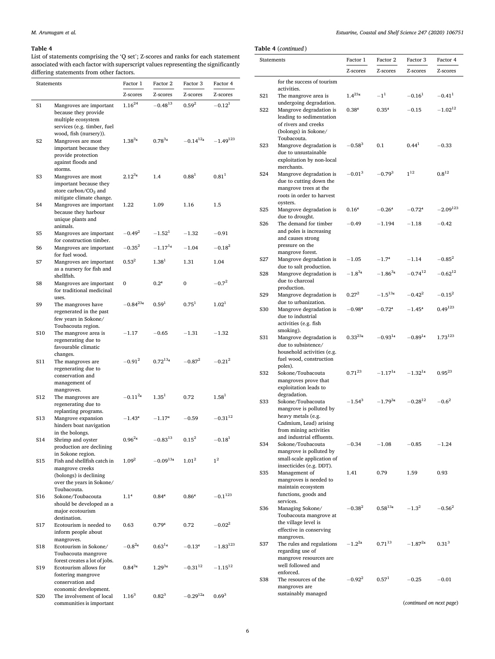## <span id="page-5-0"></span>*M. Arumugam et al.*

## **Table 4**

List of statements comprising the 'Q set'; Z-scores and ranks for each statement associated with each factor with superscript values representing the significantly differing statements from other factors.

| Statements      |                                                                                                                                                   | Factor 1         | Factor 2          | Factor 3               | Factor 4       |
|-----------------|---------------------------------------------------------------------------------------------------------------------------------------------------|------------------|-------------------|------------------------|----------------|
|                 |                                                                                                                                                   | Z-scores         | Z-scores          | Z-scores               | Z-scores       |
| S1              | Mangroves are important<br>because they provide<br>multiple ecosystem                                                                             | $1.16^{24}$      | $-0.48^{13}$      | $0.59^{2}$             | $-0.12^1$      |
| S <sub>2</sub>  | services (e.g. timber, fuel<br>wood, fish (nursery)).<br>Mangroves are most<br>important because they<br>provide protection<br>against floods and | $1.38^{34}$      | $0.78^{34}$       | $-0.14$ <sup>124</sup> | $-1.49^{123}$  |
| S <sub>3</sub>  | storms.<br>Mangroves are most<br>important because they<br>store carbon/ $CO2$ and                                                                | $2.12^{34}$      | 1.4               | $0.88^{1}$             | $0.81^{1}$     |
| S4              | mitigate climate change.<br>Mangroves are important<br>because they harbour<br>unique plants and<br>animals.                                      | 1.22             | 1.09              | 1.16                   | 1.5            |
| S <sub>5</sub>  | Mangroves are important<br>for construction timber.                                                                                               | $-0.49^{2}$      | $-1.52^1$         | $-1.32$                | $-0.91$        |
| S6              | Mangroves are important<br>for fuel wood.                                                                                                         | $-0.35^{2}$      | $-1.17^{14}$      | $-1.04$                | $-0.18^2$      |
| S7              | Mangroves are important<br>as a nursery for fish and<br>shellfish.                                                                                | $0.53^{2}$       | $1.38^{1}$        | 1.31                   | 1.04           |
| S8              | Mangroves are important<br>for traditional medicinal<br>uses.                                                                                     | 0                | 0.2 <sup>4</sup>  | 0                      | $-0.7^{2}$     |
| S9              | The mangroves have<br>regenerated in the past<br>few years in Sokone/                                                                             | $-0.84^{234}$    | 0.59 <sup>1</sup> | $0.75^{1}$             | $1.02^{1}$     |
| S10             | Toubacouta region.<br>The mangrove area is<br>regenerating due to<br>favourable climatic                                                          | $-1.17$          | $-0.65$           | $-1.31$                | $-1.32$        |
| S11             | changes.<br>The mangroves are<br>regenerating due to<br>conservation and<br>management of                                                         | $-0.91^{2}$      | $0.72^{134}$      | $-0.87^{2}$            | $-0.21^{2}$    |
| S <sub>12</sub> | mangroves.<br>The mangroves are<br>regenerating due to                                                                                            | $-0.11^{24}$     | 1.35 <sup>1</sup> | 0.72                   | $1.58^{1}$     |
| S <sub>13</sub> | replanting programs.<br>Mangrove expansion<br>hinders boat navigation                                                                             | $-1.43^{4}$      | $-1.174$          | $-0.59$                | $-0.31^{12}$   |
| S14             | in the bolongs.<br>Shrimp and oyster<br>production are declining                                                                                  | $0.96^{24}$      | $-0.83^{13}$      | $0.15^{2}$             | $-0.18^{1}$    |
| S15             | in Sokone region.<br>Fish and shellfish catch in<br>mangrove creeks<br>(bolongs) is declining<br>over the years in Sokone/                        | $1.09^{2}$       | $-0.09^{134}$     | $1.01^{2}$             | 1 <sup>2</sup> |
| S <sub>16</sub> | Toubacouta.<br>Sokone/Toubacouta<br>should be developed as a<br>major ecotourism<br>destination.                                                  | 1.1 <sup>4</sup> | 0.844             | 0.864                  | $-0.1^{123}$   |
| S17             | Ecotourism is needed to<br>inform people about<br>mangroves.                                                                                      | 0.63             | 0.794             | 0.72                   | $-0.02^{2}$    |
| S18             | Ecotourism in Sokone/<br>Toubacouta mangrove<br>forest creates a lot of jobs.                                                                     | $-0.8^{24}$      | $0.63^{14}$       | $-0.13^{4}$            | $-1.83^{123}$  |
| S <sub>19</sub> | Ecotourism allows for<br>fostering mangrove<br>conservation and                                                                                   | $0.84^{34}$      | $1.29^{34}$       | $-0.31^{12}$           | $-1.15^{12}$   |
| <b>S20</b>      | economic development.<br>The involvement of local<br>communities is important                                                                     | $1.16^{3}$       | $0.82^{3}$        | $-0.29^{12}4$          | $0.69^{3}$     |

*Estuarine, Coastal and Shelf Science 247 (2020) 106751*

**Table 4** (*continued* )

| Statements       |                                                    | Factor 1          | Factor 2          | Factor 3              | Factor 4             |
|------------------|----------------------------------------------------|-------------------|-------------------|-----------------------|----------------------|
|                  |                                                    | Z-scores          | Z-scores          | Z-scores              | Z-scores             |
|                  | for the success of tourism                         |                   |                   |                       |                      |
|                  | activities.                                        |                   |                   |                       |                      |
| S <sub>21</sub>  | The mangrove area is<br>undergoing degradation.    | $1.4^{234}$       | $-1^{1}$          | $-0.16^{1}$           | $-0.41$ <sup>1</sup> |
| S <sub>22</sub>  | Mangrove degradation is                            | 0.38 <sup>4</sup> | 0.35 <sup>4</sup> | $-0.15$               | $-1.02^{12}$         |
|                  | leading to sedimentation<br>of rivers and creeks   |                   |                   |                       |                      |
|                  | (bolongs) in Sokone/                               |                   |                   |                       |                      |
|                  | Toubacouta.                                        |                   |                   |                       |                      |
| S <sub>2</sub> 3 | Mangrove degradation is<br>due to unsustainable    | $-0.58^{3}$       | 0.1               | 0.44 <sup>1</sup>     | $-0.33$              |
|                  | exploitation by non-local                          |                   |                   |                       |                      |
| S <sub>24</sub>  | merchants.                                         | $-0.01^{3}$       | $-0.79^{3}$       | $1^{12}$              | $0.8^{12}$           |
|                  | Mangrove degradation is<br>due to cutting down the |                   |                   |                       |                      |
|                  | mangrove trees at the                              |                   |                   |                       |                      |
|                  | roots in order to harvest<br>oysters.              |                   |                   |                       |                      |
| S <sub>25</sub>  | Mangrove degradation is                            | 0.16 <sup>4</sup> | $-0.264$          | $-0.72^{4}$           | $-2.09^{123}$        |
| S <sub>26</sub>  | due to drought.                                    | $-0.49$           |                   | $-1.18$               | $-0.42$              |
|                  | The demand for timber<br>and poles is increasing   |                   | $-1.194$          |                       |                      |
|                  | and causes strong                                  |                   |                   |                       |                      |
|                  | pressure on the<br>mangrove forest.                |                   |                   |                       |                      |
| S <sub>27</sub>  | Mangrove degradation is                            | $-1.05$           | $-1.74$           | $-1.14$               | $-0.85^{2}$          |
| S <sub>28</sub>  | due to salt production.                            | $-1.8^{34}$       | $-1.86^{34}$      | $-0.74$ <sup>12</sup> | $-0.62^{12}$         |
|                  | Mangrove degradation is<br>due to charcoal         |                   |                   |                       |                      |
|                  | production.                                        |                   |                   |                       |                      |
| S <sub>29</sub>  | Mangrove degradation is<br>due to urbanization.    | $0.27^{2}$        | $-1.5^{134}$      | $-0.42^{2}$           | $-0.15^{2}$          |
| <b>S30</b>       | Mangrove degradation is                            | $-0.984$          | $-0.72^{4}$       | $-1.45^{4}$           | $0.49^{123}$         |
|                  | due to industrial                                  |                   |                   |                       |                      |
|                  | activities (e.g. fish<br>smoking).                 |                   |                   |                       |                      |
| <b>S31</b>       | Mangrove degradation is                            | $0.33^{234}$      | $-0.93^{14}$      | $-0.89^{14}$          | $1.73^{123}$         |
|                  | due to subsistence/<br>household activities (e.g.  |                   |                   |                       |                      |
|                  | fuel wood, construction                            |                   |                   |                       |                      |
| S32              | poles).                                            | $0.71^{23}$       | $-1.17^{14}$      | $-1.32^{14}$          | $0.95^{23}$          |
|                  | Sokone/Toubacouta<br>mangroves prove that          |                   |                   |                       |                      |
|                  | exploitation leads to                              |                   |                   |                       |                      |
| S33              | degradation.<br>Sokone/Toubacouta                  | $-1.54^{3}$       | $-1.79^{34}$      | $-0.28^{12}$          | $-0.6^{2}$           |
|                  | mangrove is polluted by                            |                   |                   |                       |                      |
|                  | heavy metals (e.g.                                 |                   |                   |                       |                      |
|                  | Cadmium, Lead) arising<br>from mining activities   |                   |                   |                       |                      |
|                  | and industrial effluents.                          |                   |                   |                       |                      |
| S34              | Sokone/Toubacouta<br>mangrove is polluted by       | $-0.34$           | $-1.08$           | $-0.85$               | $-1.24$              |
|                  | small-scale application of                         |                   |                   |                       |                      |
|                  | insecticides (e.g. DDT).                           |                   |                   |                       |                      |
| S <sub>35</sub>  | Management of<br>mangroves is needed to            | 1.41              | 0.79              | 1.59                  | 0.93                 |
|                  | maintain ecosystem                                 |                   |                   |                       |                      |
|                  | functions, goods and<br>services.                  |                   |                   |                       |                      |
| S36              | Managing Sokone/                                   | $-0.38^{2}$       | $0.58^{134}$      | $-1.3^{2}$            | $-0.56^{2}$          |
|                  | Toubacouta mangrove at                             |                   |                   |                       |                      |
|                  | the village level is<br>effective in conserving    |                   |                   |                       |                      |
|                  | mangroves.                                         |                   |                   |                       |                      |
| S37              | The rules and regulations<br>regarding use of      | $-1.2^{24}$       | $0.71^{13}$       | $-1.87^{24}$          | $0.31^{3}$           |
|                  | mangrove resources are                             |                   |                   |                       |                      |
|                  | well followed and                                  |                   |                   |                       |                      |
| S38              | enforced.<br>The resources of the                  | $-0.92^{2}$       | 0.57 <sup>1</sup> | $-0.25$               | $-0.01$              |
|                  | mangroves are                                      |                   |                   |                       |                      |
|                  | sustainably managed                                |                   |                   |                       |                      |

(*continued on next page*)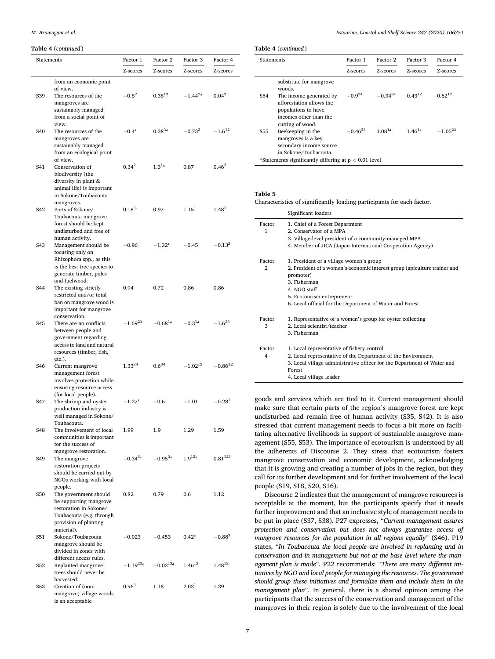### <span id="page-6-0"></span>*M. Arumugam et al.*

## **Table 4** (*continued* )

| Statements |                                                     | Factor 1          | Factor 2      | Factor 3          | Factor 4          |
|------------|-----------------------------------------------------|-------------------|---------------|-------------------|-------------------|
|            |                                                     | Z-scores          | Z-scores      | Z-scores          | Z-scores          |
|            | from an economic point                              |                   |               |                   |                   |
|            | of view.                                            |                   |               |                   |                   |
| S39        | The resources of the<br>mangroves are               | $-0.8^{2}$        | $0.38^{13}$   | $-1.44^{24}$      | $0.04^3$          |
|            | sustainably managed                                 |                   |               |                   |                   |
|            | from a social point of                              |                   |               |                   |                   |
|            | view.                                               |                   |               |                   |                   |
| S40        | The resources of the                                | $-0.44$           | $0.38^{34}$   | $-0.73^{2}$       | $-1.6^{12}$       |
|            | mangroves are<br>sustainably managed                |                   |               |                   |                   |
|            | from an ecological point                            |                   |               |                   |                   |
|            | of view.                                            |                   |               |                   |                   |
| S41        | Conservation of<br>biodiversity (the                | 0.34 <sup>2</sup> | $1.3^{14}$    | 0.87              | $0.46^{2}$        |
|            | diversity in plant &                                |                   |               |                   |                   |
|            | animal life) is important                           |                   |               |                   |                   |
|            | in Sokone/Toubacouta                                |                   |               |                   |                   |
| S42        | mangroves.<br>Parts of Sokone/                      | $0.18^{34}$       | 0.97          | 1.15 <sup>1</sup> | 1.48 <sup>1</sup> |
|            | Toubacouta mangrove                                 |                   |               |                   |                   |
|            | forest should be kept                               |                   |               |                   |                   |
|            | undisturbed and free of                             |                   |               |                   |                   |
| S43        | human activity.<br>Management should be             | $-0.96$           | $-1.324$      | $-0.45$           | $-0.13^{2}$       |
|            | focusing only on                                    |                   |               |                   |                   |
|            | Rhizophora spp., as this                            |                   |               |                   |                   |
|            | is the best tree species to                         |                   |               |                   |                   |
|            | generate timber, poles<br>and fuelwood.             |                   |               |                   |                   |
| S44        | The existing strictly                               | 0.94              | 0.72          | 0.86              | 0.86              |
|            | restricted and/or total                             |                   |               |                   |                   |
|            | ban on mangrove wood is                             |                   |               |                   |                   |
|            | important for mangrove<br>conservation.             |                   |               |                   |                   |
| S45        | There are no conflicts                              | $-1.69^{23}$      | $-0.68^{14}$  | $-0.3^{14}$       | $-1.6^{23}$       |
|            | between people and                                  |                   |               |                   |                   |
|            | government regarding<br>access to land and natural  |                   |               |                   |                   |
|            | resources (timber, fish,                            |                   |               |                   |                   |
|            | etc.).                                              |                   |               |                   |                   |
| S46        | Current mangrove                                    | $1.33^{34}$       | $0.6^{34}$    | $-1.02^{12}$      | $-0.86^{12}$      |
|            | management forest<br>involves protection while      |                   |               |                   |                   |
|            | ensuring resource access                            |                   |               |                   |                   |
|            | (for local people).                                 |                   |               |                   |                   |
| S47        | The shrimp and oyster                               | $-1.274$          | $-0.6$        | $-1.01$           | $-0.28^{1}$       |
|            | production industry is<br>well managed in Sokone/   |                   |               |                   |                   |
|            | Toubacouta.                                         |                   |               |                   |                   |
| S48        | The involvement of local                            | 1.99              | 1.9           | 1.29              | 1.59              |
|            | communities is important                            |                   |               |                   |                   |
|            | for the success of<br>mangrove restoration.         |                   |               |                   |                   |
| S49        | The mangrove                                        | $-0.34^{34}$      | $-0.95^{34}$  | $1.9^{124}$       | $0.81^{123}$      |
|            | restoration projects                                |                   |               |                   |                   |
|            | should be carried out by<br>NGOs working with local |                   |               |                   |                   |
|            | people.                                             |                   |               |                   |                   |
| S50        | The government should                               | 0.82              | 0.79          | 0.6               | 1.12              |
|            | be supporting mangrove                              |                   |               |                   |                   |
|            | restoration in Sokone/<br>Toubacouta (e.g. through  |                   |               |                   |                   |
|            | provision of planting                               |                   |               |                   |                   |
|            | material).                                          |                   |               |                   |                   |
| S51        | Sokone/Toubacouta                                   | $-0.023$          | $-0.453$      | 0.42 <sup>4</sup> | $-0.88^{3}$       |
|            | mangrove should be<br>divided in zones with         |                   |               |                   |                   |
|            | different access rules.                             |                   |               |                   |                   |
| S52        | Replanted mangrove                                  | $-1.19^{234}$     | $-0.02^{134}$ | $1.46^{12}$       | $1.48^{12}$       |
|            | trees should never be<br>harvested.                 |                   |               |                   |                   |
| S53        | Creation of (non-                                   | $0.96^{3}$        | 1.18          | 2.03 <sup>1</sup> | 1.39              |
|            | mangrove) village woods                             |                   |               |                   |                   |
|            | is an acceptable                                    |                   |               |                   |                   |

*Estuarine, Coastal and Shelf Science 247 (2020) 106751*

| <b>Statements</b> |                                                                                                                                           | Factor 1     | Factor 2     | Factor 3    | Factor 4     |
|-------------------|-------------------------------------------------------------------------------------------------------------------------------------------|--------------|--------------|-------------|--------------|
|                   |                                                                                                                                           | Z-scores     | Z-scores     | Z-scores    | Z-scores     |
| S54               | substitute for mangrove<br>woods.<br>The income generated by<br>afforestation allows the<br>populations to have<br>incomes other than the | $-0.9^{34}$  | $-0.34^{34}$ | $0.43^{12}$ | $0.62^{12}$  |
| S55               | cutting of wood.<br>Beekeeping in the<br>mangroves is a key<br>secondary income source<br>in Sokone/Toubacouta.                           | $-0.46^{23}$ | $1.08^{14}$  | $1.46^{14}$ | $-1.05^{23}$ |

#### **Table 5**

Characteristics of significantly loading participants for each factor.

|                          | Significant loaders                                                                                                                                                                                                                                         |
|--------------------------|-------------------------------------------------------------------------------------------------------------------------------------------------------------------------------------------------------------------------------------------------------------|
| Factor<br>1              | 1. Chief of a Forest Department<br>2. Conservator of a MPA<br>3. Village-level president of a community-managed MPA<br>4. Member of JICA (Japan International Cooperation Agency)                                                                           |
| Factor<br>$\overline{2}$ | 1. President of a village women's group<br>2. President of a women's economic interest group (apiculture trainer and<br>promoter)<br>3. Fisherman<br>4. NGO staff<br>5. Ecotourism entrepreneur<br>6. Local official for the Department of Water and Forest |
| Factor<br>3              | 1. Representative of a women's group for oyster collecting<br>2. Local scientist/teacher<br>3. Fisherman                                                                                                                                                    |
| Factor<br>4              | 1. Local representative of fishery control<br>2. Local representative of the Department of the Environment<br>3. Local village administrative officer for the Department of Water and<br>Forest<br>4. Local village leader                                  |

goods and services which are tied to it. Current management should make sure that certain parts of the region's mangrove forest are kept undisturbed and remain free of human activity (S35, S42). It is also stressed that current management needs to focus a bit more on facilitating alternative livelihoods in support of sustainable mangrove management (S55, S53). The importance of ecotourism is understood by all the adherents of Discourse 2. They stress that ecotourism fosters mangrove conservation and economic development, acknowledging that it is growing and creating a number of jobs in the region, but they call for its further development and for further involvement of the local people (S19, S18, S20, S16).

Discourse 2 indicates that the management of mangrove resources is acceptable at the moment, but the participants specify that it needs further improvement and that an inclusive style of management needs to be put in place (S37, S38). P27 expresses, "*Current management assures protection and conservation but does not always guarantee access of mangrove resources for the population in all regions equally*" (S46). P19 states, "*In Toubacouta the local people are involved in replanting and in conservation and in management but not at the base level where the management plan is made*". P22 recommends: "*There are many different initiatives by NGO and local people for managing the resources. The government should group these initiatives and formalize them and include them in the management plan*". In general, there is a shared opinion among the participants that the success of the conservation and management of the mangroves in their region is solely due to the involvement of the local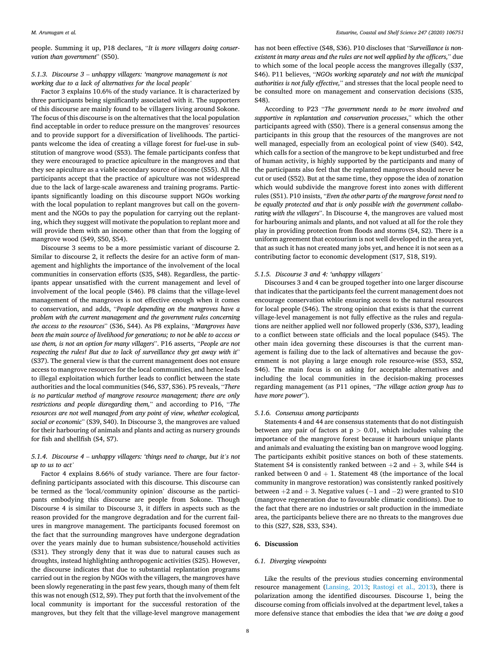people. Summing it up, P18 declares, "*It is more villagers doing conservation than government*" (S50).

## *5.1.3. Discourse 3* – *unhappy villagers: 'mangrove management is not working due to a lack of alternatives for the local people'*

Factor 3 explains 10.6% of the study variance. It is characterized by three participants being significantly associated with it. The supporters of this discourse are mainly found to be villagers living around Sokone. The focus of this discourse is on the alternatives that the local population find acceptable in order to reduce pressure on the mangroves' resources and to provide support for a diversification of livelihoods. The participants welcome the idea of creating a village forest for fuel-use in substitution of mangrove wood (S53). The female participants confess that they were encouraged to practice apiculture in the mangroves and that they see apiculture as a viable secondary source of income (S55). All the participants accept that the practice of apiculture was not widespread due to the lack of large-scale awareness and training programs. Participants significantly loading on this discourse support NGOs working with the local population to replant mangroves but call on the government and the NGOs to pay the population for carrying out the replanting, which they suggest will motivate the population to replant more and will provide them with an income other than that from the logging of mangrove wood (S49, S50, S54).

Discourse 3 seems to be a more pessimistic variant of discourse 2. Similar to discourse 2, it reflects the desire for an active form of management and highlights the importance of the involvement of the local communities in conservation efforts (S35, S48). Regardless, the participants appear unsatisfied with the current management and level of involvement of the local people (S46). P8 claims that the village-level management of the mangroves is not effective enough when it comes to conservation, and adds, "*People depending on the mangroves have a problem with the current management and the government rules concerning the access to the resources*" (S36, S44). As P8 explains, "*Mangroves have been the main source of livelihood for generations; to not be able to access or use them, is not an option for many villagers*". P16 asserts, "*People are not respecting the rules! But due to lack of surveillance they get away with it*" (S37). The general view is that the current management does not ensure access to mangrove resources for the local communities, and hence leads to illegal exploitation which further leads to conflict between the state authorities and the local communities (S46, S37, S36). P5 reveals, "*There is no particular method of mangrove resource management; there are only restrictions and people disregarding them,*" and according to P16, "*The resources are not well managed from any point of view, whether ecological, social or economic*" (S39, S40). In Discourse 3, the mangroves are valued for their harbouring of animals and plants and acting as nursery grounds for fish and shellfish (S4, S7).

# *5.1.4. Discourse 4* – *unhappy villagers: 'things need to change, but it's not up to us to act'*

Factor 4 explains 8.66% of study variance. There are four factordefining participants associated with this discourse. This discourse can be termed as the 'local/community opinion' discourse as the participants embodying this discourse are people from Sokone. Though Discourse 4 is similar to Discourse 3, it differs in aspects such as the reason provided for the mangrove degradation and for the current failures in mangrove management. The participants focused foremost on the fact that the surrounding mangroves have undergone degradation over the years mainly due to human subsistence/household activities (S31). They strongly deny that it was due to natural causes such as droughts, instead highlighting anthropogenic activities (S25). However, the discourse indicates that due to substantial replantation programs carried out in the region by NGOs with the villagers, the mangroves have been slowly regenerating in the past few years, though many of them felt this was not enough (S12, S9). They put forth that the involvement of the local community is important for the successful restoration of the mangroves, but they felt that the village-level mangrove management has not been effective (S48, S36). P10 discloses that "*Surveillance is nonexistent in many areas and the rules are not well applied by the officers,*" due to which some of the local people access the mangroves illegally (S37, S46). P11 believes, "*NGOs working separately and not with the municipal authorities is not fully effective,*" and stresses that the local people need to be consulted more on management and conservation decisions (S35, S48).

According to P23 "*The government needs to be more involved and supportive in replantation and conservation processes*," which the other participants agreed with (S50). There is a general consensus among the participants in this group that the resources of the mangroves are not well managed, especially from an ecological point of view (S40). S42, which calls for a section of the mangrove to be kept undisturbed and free of human activity, is highly supported by the participants and many of the participants also feel that the replanted mangroves should never be cut or used (S52). But at the same time, they oppose the idea of zonation which would subdivide the mangrove forest into zones with different rules (S51). P10 insists, "*Even the other parts of the mangrove forest need to be equally protected and that is only possible with the government collaborating with the villagers*". In Discourse 4, the mangroves are valued most for harbouring animals and plants, and not valued at all for the role they play in providing protection from floods and storms (S4, S2). There is a uniform agreement that ecotourism is not well developed in the area yet, that as such it has not created many jobs yet, and hence it is not seen as a contributing factor to economic development (S17, S18, S19).

## *5.1.5. Discourse 3 and 4: 'unhappy villagers'*

Discourses 3 and 4 can be grouped together into one larger discourse that indicates that the participants feel the current management does not encourage conservation while ensuring access to the natural resources for local people (S46). The strong opinion that exists is that the current village-level management is not fully effective as the rules and regulations are neither applied well nor followed properly (S36, S37), leading to a conflict between state officials and the local populace (S45). The other main idea governing these discourses is that the current management is failing due to the lack of alternatives and because the government is not playing a large enough role resource-wise (S53, S52, S46). The main focus is on asking for acceptable alternatives and including the local communities in the decision-making processes regarding management (as P11 opines, "*The village action group has to have more power*").

## *5.1.6. Consensus among participants*

Statements 4 and 44 are consensus statements that do not distinguish between any pair of factors at p *>* 0.01, which includes valuing the importance of the mangrove forest because it harbours unique plants and animals and evaluating the existing ban on mangrove wood logging. The participants exhibit positive stances on both of these statements. Statement S4 is consistently ranked between  $+2$  and  $+3$ , while S44 is ranked between  $0$  and  $+1$ . Statement 48 (the importance of the local community in mangrove restoration) was consistently ranked positively between  $+2$  and  $+3$ . Negative values ( $-1$  and  $-2$ ) were granted to S10 (mangrove regeneration due to favourable climatic conditions). Due to the fact that there are no industries or salt production in the immediate area, the participants believe there are no threats to the mangroves due to this (S27, S28, S33, S34).

## **6. Discussion**

#### *6.1. Diverging viewpoints*

Like the results of the previous studies concerning environmental resource management [\(Lansing, 2013](#page-9-0); [Rastogi et al., 2013](#page-10-0)), there is polarization among the identified discourses. Discourse 1, being the discourse coming from officials involved at the department level, takes a more defensive stance that embodies the idea that '*we are doing a good*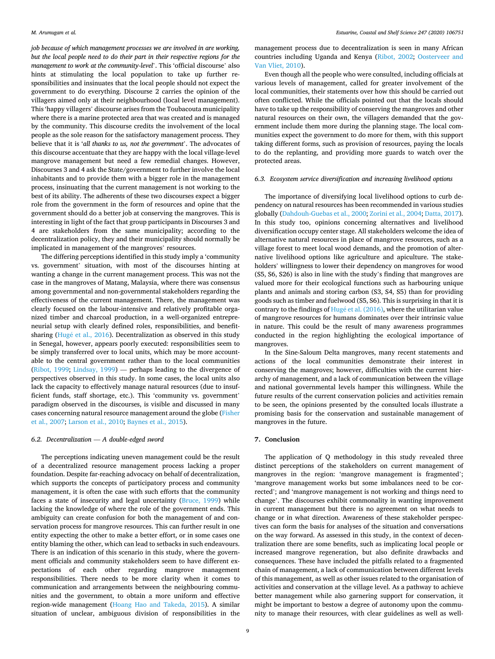*job because of which management processes we are involved in are working, but the local people need to do their part in their respective regions for the management to work at the community-level*'. This 'official discourse' also hints at stimulating the local population to take up further responsibilities and insinuates that the local people should not expect the government to do everything. Discourse 2 carries the opinion of the villagers aimed only at their neighbourhood (local level management). This 'happy villagers' discourse arises from the Toubacouta municipality where there is a marine protected area that was created and is managed by the community. This discourse credits the involvement of the local people as the sole reason for the satisfactory management process. They believe that it is '*all thanks to us, not the government*'. The advocates of this discourse accentuate that they are happy with the local village-level mangrove management but need a few remedial changes. However, Discourses 3 and 4 ask the State/government to further involve the local inhabitants and to provide them with a bigger role in the management process, insinuating that the current management is not working to the best of its ability. The adherents of these two discourses expect a bigger role from the government in the form of resources and opine that the government should do a better job at conserving the mangroves. This is interesting in light of the fact that group participants in Discourses 3 and 4 are stakeholders from the same municipality; according to the decentralization policy, they and their municipality should normally be implicated in management of the mangroves' resources.

The differing perceptions identified in this study imply a 'community vs. government' situation, with most of the discourses hinting at wanting a change in the current management process. This was not the case in the mangroves of Matang, Malaysia, where there was consensus among governmental and non-governmental stakeholders regarding the effectiveness of the current management. There, the management was clearly focused on the labour-intensive and relatively profitable organized timber and charcoal production, in a well-organized entrepreneurial setup with clearly defined roles, responsibilities, and benefitsharing (Hugé et al., 2016). Decentralization as observed in this study in Senegal, however, appears poorly executed: responsibilities seem to be simply transferred over to local units, which may be more accountable to the central government rather than to the local communities ([Ribot, 1999;](#page-10-0) [Lindsay, 1999\)](#page-9-0) — perhaps leading to the divergence of perspectives observed in this study. In some cases, the local units also lack the capacity to effectively manage natural resources (due to insufficient funds, staff shortage, etc.). This 'community vs. government' paradigm observed in the discourses, is visible and discussed in many cases concerning natural resource management around the globe [\(Fisher](#page-9-0)  [et al., 2007; Larson et al., 2010; Baynes et al., 2015](#page-9-0)).

## *6.2. Decentralization* — *A double-edged sword*

The perceptions indicating uneven management could be the result of a decentralized resource management process lacking a proper foundation. Despite far-reaching advocacy on behalf of decentralization, which supports the concepts of participatory process and community management, it is often the case with such efforts that the community faces a state of insecurity and legal uncertainty ([Bruce, 1999\)](#page-9-0) while lacking the knowledge of where the role of the government ends. This ambiguity can create confusion for both the management of and conservation process for mangrove resources. This can further result in one entity expecting the other to make a better effort, or in some cases one entity blaming the other, which can lead to setbacks in such endeavours. There is an indication of this scenario in this study, where the government officials and community stakeholders seem to have different expectations of each other regarding mangrove management responsibilities. There needs to be more clarity when it comes to communication and arrangements between the neighbouring communities and the government, to obtain a more uniform and effective region-wide management [\(Hoang Hao and Takeda, 2015](#page-9-0)). A similar situation of unclear, ambiguous division of responsibilities in the management process due to decentralization is seen in many African countries including Uganda and Kenya [\(Ribot, 2002](#page-10-0); [Oosterveer and](#page-9-0)  [Van Vliet, 2010](#page-9-0)).

Even though all the people who were consulted, including officials at various levels of management, called for greater involvement of the local communities, their statements over how this should be carried out often conflicted. While the officials pointed out that the locals should have to take up the responsibility of conserving the mangroves and other natural resources on their own, the villagers demanded that the government include them more during the planning stage. The local communities expect the government to do more for them, with this support taking different forms, such as provision of resources, paying the locals to do the replanting, and providing more guards to watch over the protected areas.

#### *6.3. Ecosystem service diversification and increasing livelihood options*

The importance of diversifying local livelihood options to curb dependency on natural resources has been recommended in various studies globally ([Dahdouh-Guebas et al., 2000;](#page-9-0) [Zorini et al., 2004](#page-10-0); [Datta, 2017](#page-9-0)). In this study too, opinions concerning alternatives and livelihood diversification occupy center stage. All stakeholders welcome the idea of alternative natural resources in place of mangrove resources, such as a village forest to meet local wood demands, and the promotion of alternative livelihood options like agriculture and apiculture. The stakeholders' willingness to lower their dependency on mangroves for wood (S5, S6, S26) is also in line with the study's finding that mangroves are valued more for their ecological functions such as harbouring unique plants and animals and storing carbon (S3, S4, S5) than for providing goods such as timber and fuelwood (S5, S6). This is surprising in that it is contrary to the findings of Hugé et al. (2016), where the utilitarian value of mangrove resources for humans dominates over their intrinsic value in nature. This could be the result of many awareness programmes conducted in the region highlighting the ecological importance of mangroves.

In the Sine-Saloum Delta mangroves, many recent statements and actions of the local communities demonstrate their interest in conserving the mangroves; however, difficulties with the current hierarchy of management, and a lack of communication between the village and national governmental levels hamper this willingness. While the future results of the current conservation policies and activities remain to be seen, the opinions presented by the consulted locals illustrate a promising basis for the conservation and sustainable management of mangroves in the future.

## **7. Conclusion**

The application of Q methodology in this study revealed three distinct perceptions of the stakeholders on current management of mangroves in the region: 'mangrove management is fragmented'; 'mangrove management works but some imbalances need to be corrected'; and 'mangrove management is not working and things need to change'. The discourses exhibit commonality in wanting improvement in current management but there is no agreement on what needs to change or in what direction. Awareness of these stakeholder perspectives can form the basis for analyses of the situation and conversations on the way forward. As assessed in this study, in the context of decentralization there are some benefits, such as implicating local people or increased mangrove regeneration, but also definite drawbacks and consequences. These have included the pitfalls related to a fragmented chain of management, a lack of communication between different levels of this management, as well as other issues related to the organisation of activities and conservation at the village level. As a pathway to achieve better management while also garnering support for conservation, it might be important to bestow a degree of autonomy upon the community to manage their resources, with clear guidelines as well as well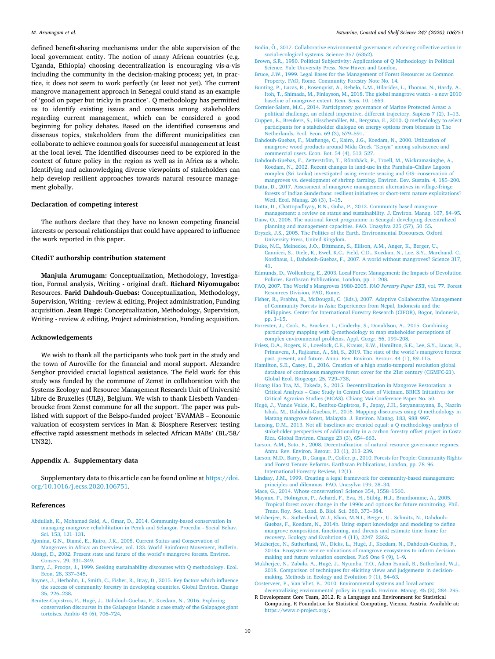<span id="page-9-0"></span>defined benefit-sharing mechanisms under the able supervision of the local government entity. The notion of many African countries (e.g. Uganda, Ethiopia) choosing decentralization is encouraging vis-a-vis including the community in the decision-making process; yet, in practice, it does not seem to work perfectly (at least not yet). The current mangrove management approach in Senegal could stand as an example of 'good on paper but tricky in practice'. Q methodology has permitted us to identify existing issues and consensus among stakeholders regarding current management, which can be considered a good beginning for policy debates. Based on the identified consensus and dissensus topics, stakeholders from the different municipalities can collaborate to achieve common goals for successful management at least at the local level. The identified discourses need to be explored in the context of future policy in the region as well as in Africa as a whole. Identifying and acknowledging diverse viewpoints of stakeholders can help develop resilient approaches towards natural resource management globally.

## **Declaration of competing interest**

The authors declare that they have no known competing financial interests or personal relationships that could have appeared to influence the work reported in this paper.

## **CRediT authorship contribution statement**

**Manjula Arumugam:** Conceptualization, Methodology, Investigation, Formal analysis, Writing - original draft. **Richard Niyomugabo:**  Resources. **Farid Dahdouh-Guebas:** Conceptualization, Methodology, Supervision, Writing - review & editing, Project administration, Funding acquisition. **Jean Hugé:** Conceptualization, Methodology, Supervision, Writing - review & editing, Project administration, Funding acquisition.

#### **Acknowledgements**

We wish to thank all the participants who took part in the study and the town of Auroville for the financial and moral support. Alexandre Senghor provided crucial logistical assistance. The field work for this study was funded by the commune of Zemst in collaboration with the Systems Ecology and Resource Management Research Unit of Université Libre de Bruxelles (ULB), Belgium. We wish to thank Liesbeth Vandenbroucke from Zemst commune for all the support. The paper was published with support of the Belspo-funded project 'EVAMAB – Economic valuation of ecosystem services in Man & Biosphere Reserves: testing effective rapid assessment methods in selected African MABs' (BL/58/ UN32).

#### **Appendix A. Supplementary data**

Supplementary data to this article can be found online at [https://doi.](https://doi.org/10.1016/j.ecss.2020.106751)  [org/10.1016/j.ecss.2020.106751](https://doi.org/10.1016/j.ecss.2020.106751).

## **References**

- [Abdullah, K., Mohamad Said, A., Omar, D., 2014. Community-based conservation in](http://refhub.elsevier.com/S0272-7714(19)31186-2/sref1) [managing mangrove rehabilitation in Perak and Selangor. Procedia - Social Behav.](http://refhub.elsevier.com/S0272-7714(19)31186-2/sref1)  [Sci. 153, 121](http://refhub.elsevier.com/S0272-7714(19)31186-2/sref1)–131.
- Ajonina, G.N., Diamé, E., Kairo, J.K., 2008. Current Status and Conservation of [Mangroves in Africa: an Overview, vol. 133. World Rainforest Movement, Bulletin.](http://refhub.elsevier.com/S0272-7714(19)31186-2/sref2)
- [Alongi, D., 2002. Present state and future of the world](http://refhub.elsevier.com/S0272-7714(19)31186-2/sref3)'s mangrove forests. Environ. [Conserv. 29, 331](http://refhub.elsevier.com/S0272-7714(19)31186-2/sref3)–349.
- [Barry, J., Proops, J., 1999. Seeking sustainability discourses with Q methodology. Ecol.](http://refhub.elsevier.com/S0272-7714(19)31186-2/sref4)  [Econ. 28, 337](http://refhub.elsevier.com/S0272-7714(19)31186-2/sref4)–345.
- [Baynes, J., Herbohn, J., Smith, C., Fisher, R., Bray, D., 2015. Key factors which influence](http://refhub.elsevier.com/S0272-7714(19)31186-2/sref5)  [the success of community forestry in developing countries. Global Environ. Change](http://refhub.elsevier.com/S0272-7714(19)31186-2/sref5)  [35, 226](http://refhub.elsevier.com/S0272-7714(19)31186-2/sref5)–238.
- Benitez-Capistros, F., Hugé, J., Dahdouh-Guebas, F., Koedam, N., 2016. Exploring [conservation discourses in the Galapagos Islands: a case study of the Galapagos giant](http://refhub.elsevier.com/S0272-7714(19)31186-2/sref6)  [tortoises. Ambio 45 \(6\), 706](http://refhub.elsevier.com/S0272-7714(19)31186-2/sref6)–724.
- Bodin, Ö., 2017. Collaborative environmental governance: achieving collective action in [social-ecological systems. Science 357 \(6352\).](http://refhub.elsevier.com/S0272-7714(19)31186-2/sref7)
- [Brown, S.R., 1980. Political Subjectivity: Applications of Q Methodology in Political](http://refhub.elsevier.com/S0272-7714(19)31186-2/sref8)  [Science. Yale University Press, New Haven and London](http://refhub.elsevier.com/S0272-7714(19)31186-2/sref8).
- [Bruce, J.W., 1999. Legal Bases for the Management of Forest Resources as Common](http://refhub.elsevier.com/S0272-7714(19)31186-2/sref9) [Property. FAO, Rome. Community Forestry Note No. 14](http://refhub.elsevier.com/S0272-7714(19)31186-2/sref9).
- [Bunting, P., Lucas, R., Rosenqvist, A., Rebelo, L.M., Hilarides, L., Thomas, N., Hardy, A.,](http://refhub.elsevier.com/S0272-7714(19)31186-2/sref10)  [Itoh, T., Shimada, M., Finlayson, M., 2018. The global mangrove watch - a new 2010](http://refhub.elsevier.com/S0272-7714(19)31186-2/sref10)  [baseline of mangrove extent. Rem. Sens. 10, 1669](http://refhub.elsevier.com/S0272-7714(19)31186-2/sref10).
- [Cormier-Salem, M.C., 2014. Participatory governance of Marine Protected Areas: a](http://refhub.elsevier.com/S0272-7714(19)31186-2/sref11)  [political challenge, an ethical imperative, different trajectory. Sapiens 7 \(2\), 1](http://refhub.elsevier.com/S0272-7714(19)31186-2/sref11)–13.
- Cuppen, E., Breukers, S., Hisschemöller, M., Bergsma, E., 2010. Q methodology to select [participants for a stakeholder dialogue on energy options from biomass in The](http://refhub.elsevier.com/S0272-7714(19)31186-2/sref12)  [Netherlands. Ecol. Econ. 69 \(3\), 579](http://refhub.elsevier.com/S0272-7714(19)31186-2/sref12)–591.
- [Dahdouh-Guebas, F., Mathenge, C., Kairo, J.G., Koedam, N., 2000. Utilization of](http://refhub.elsevier.com/S0272-7714(19)31186-2/sref13) [mangrove wood products around Mida Creek](http://refhub.elsevier.com/S0272-7714(19)31186-2/sref13) "Kenya" among subsistence and [commercial users. Econ. Bot. 54 \(4\), 513](http://refhub.elsevier.com/S0272-7714(19)31186-2/sref13)–527.
- Dahdouh-Guebas, F., Zetterström, T., Rönnbäck, P., Troell, M., Wickramasinghe, A., [Koedam, N., 2002. Recent changes in land-use in the Pambala](http://refhub.elsevier.com/S0272-7714(19)31186-2/sref14)–Chilaw Lagoon [complex \(Sri Lanka\) investigated using remote sensing and GIS: conservation of](http://refhub.elsevier.com/S0272-7714(19)31186-2/sref14) [mangroves vs. development of shrimp farming. Environ. Dev. Sustain. 4, 185](http://refhub.elsevier.com/S0272-7714(19)31186-2/sref14)–200.
- [Datta, D., 2017. Assessment of mangrove management alternatives in village-fringe](http://refhub.elsevier.com/S0272-7714(19)31186-2/sref15)  [forests of Indian Sunderbans: resilient initiatives or short-term nature exploitations?](http://refhub.elsevier.com/S0272-7714(19)31186-2/sref15)  [Wetl. Ecol. Manag. 26 \(3\), 1](http://refhub.elsevier.com/S0272-7714(19)31186-2/sref15)–15.
- [Datta, D., Chattopadhyay, R.N., Guha, P., 2012. Community based mangrove](http://refhub.elsevier.com/S0272-7714(19)31186-2/sref16)  [management: a review on status and sustainability. J. Environ. Manag. 107, 84](http://refhub.elsevier.com/S0272-7714(19)31186-2/sref16)–95.
- [Diaw, O., 2006. The national forest programme in Senegal: developing decentralized](http://refhub.elsevier.com/S0272-7714(19)31186-2/sref17)  [planning and management capacities. FAO. Unasylva 225 \(57\), 50](http://refhub.elsevier.com/S0272-7714(19)31186-2/sref17)–55.
- [Dryzek, J.S., 2005. The Politics of the Earth. Environmental Discourses. Oxford](http://refhub.elsevier.com/S0272-7714(19)31186-2/sref18)  [University Press, United Kingdom.](http://refhub.elsevier.com/S0272-7714(19)31186-2/sref18)
- [Duke, N.C., Meinecke, J.O., Dittmann, S., Ellison, A.M., Anger, K., Berger, U.,](http://refhub.elsevier.com/S0272-7714(19)31186-2/sref19) [Cannicci, S., Diele, K., Ewel, K.C., Field, C.D., Koedam, N., Lee, S.Y., Marchand, C.,](http://refhub.elsevier.com/S0272-7714(19)31186-2/sref19)  [Nordhaus, I., Dahdouh-Guebas, F., 2007. A world without mangroves? Science 317,](http://refhub.elsevier.com/S0272-7714(19)31186-2/sref19)  [41.](http://refhub.elsevier.com/S0272-7714(19)31186-2/sref19)
- [Edmunds, D., Wollenberg, E., 2003. Local Forest Management: the Impacts of Devolution](http://refhub.elsevier.com/S0272-7714(19)31186-2/sref20)  [Policies. Earthscan Publications, London, pp. 1](http://refhub.elsevier.com/S0272-7714(19)31186-2/sref20)–208.
- FAO, 2007. The World'[s Mangroves 1980-2005.](http://refhub.elsevier.com/S0272-7714(19)31186-2/sref21) *FAO Forestry Paper 153*, vol. 77. Forest [Resources Division, FAO, Rome](http://refhub.elsevier.com/S0272-7714(19)31186-2/sref21).
- [Fisher, R., Prabhu, R., McDougall, C. \(Eds.\), 2007. Adaptive Collaborative Management](http://refhub.elsevier.com/S0272-7714(19)31186-2/sref22)  [of Community Forests in Asia: Experiences from Nepal, Indonesia and the](http://refhub.elsevier.com/S0272-7714(19)31186-2/sref22) [Philippines. Center for International Forestry Research \(CIFOR\), Bogor, Indonesia,](http://refhub.elsevier.com/S0272-7714(19)31186-2/sref22)  [pp. 1](http://refhub.elsevier.com/S0272-7714(19)31186-2/sref22)–15.
- [Forrester, J., Cook, B., Bracken, L., Cinderby, S., Donaldson, A., 2015. Combining](http://refhub.elsevier.com/S0272-7714(19)31186-2/sref23)  [participatory mapping with Q-methodology to map stakeholder perceptions of](http://refhub.elsevier.com/S0272-7714(19)31186-2/sref23) [complex environmental problems. Appl. Geogr. 56, 199](http://refhub.elsevier.com/S0272-7714(19)31186-2/sref23)–208.
- [Friess, D.A., Rogers, K., Lovelock, C.E., Krauss, K.W., Hamilton, S.E., Lee, S.Y., Lucas, R.,](http://refhub.elsevier.com/S0272-7714(19)31186-2/sref24)  [Primavera, J., Rajkaran, A., Shi, S., 2019. The state of the world](http://refhub.elsevier.com/S0272-7714(19)31186-2/sref24)'s mangrove forests: [past, present, and future. Annu. Rev. Environ. Resour. 44 \(1\), 89](http://refhub.elsevier.com/S0272-7714(19)31186-2/sref24)–115.
- [Hamilton, S.E., Casey, D., 2016. Creation of a high spatio-temporal resolution global](http://refhub.elsevier.com/S0272-7714(19)31186-2/sref25) [database of continuous mangrove forest cover for the 21st century \(CGMFC-21\).](http://refhub.elsevier.com/S0272-7714(19)31186-2/sref25) [Global Ecol. Biogeogr. 25, 729](http://refhub.elsevier.com/S0272-7714(19)31186-2/sref25)–738.
- [Hoang Hao Tra, M., Takeda, S., 2015. Decentralization in Mangrove Restoration: a](http://refhub.elsevier.com/S0272-7714(19)31186-2/sref26) Critical Analysis – [Case Study in Central Coast of Vietnam. BRICS Initiatives for](http://refhub.elsevier.com/S0272-7714(19)31186-2/sref26) [Critical Agrarian Studies \(BICAS\). Chiang Mai Conference Paper No. 50.](http://refhub.elsevier.com/S0272-7714(19)31186-2/sref26)
- Hugé, J., Vande Velde, K., Benitez-Capistros, F., Japay, J.H., Satyanarayana, B., Nazrin [Ishak, M., Dahdouh-Guebas, F., 2016. Mapping discourses using Q methodology in](http://refhub.elsevier.com/S0272-7714(19)31186-2/sref27)  [Matang mangrove forest, Malaysia. J. Environ. Manag. 183, 988](http://refhub.elsevier.com/S0272-7714(19)31186-2/sref27)–997.
- [Lansing, D.M., 2013. Not all baselines are created equal: a Q methodology analysis of](http://refhub.elsevier.com/S0272-7714(19)31186-2/sref28)  [stakeholder perspectives of additionality in a carbon forestry offset project in Costa](http://refhub.elsevier.com/S0272-7714(19)31186-2/sref28)  [Rica. Global Environ. Change 23 \(3\), 654](http://refhub.elsevier.com/S0272-7714(19)31186-2/sref28)–663.
- [Larson, A.M., Soto, F., 2008. Decentralization of natural resource governance regimes.](http://refhub.elsevier.com/S0272-7714(19)31186-2/sref29) [Annu. Rev. Environ. Resour. 33 \(1\), 213](http://refhub.elsevier.com/S0272-7714(19)31186-2/sref29)–239.
- [Larson, M.D., Barry, D., Ganga, P., Colfer, p., 2010. Forests for People: Community Rights](http://refhub.elsevier.com/S0272-7714(19)31186-2/sref30)  [and Forest Tenure Reforms. Earthscan Publications, London, pp. 78](http://refhub.elsevier.com/S0272-7714(19)31186-2/sref30)–96. [International Forestry Review, 12\(1\).](http://refhub.elsevier.com/S0272-7714(19)31186-2/sref30)
- [Lindsay, J.M., 1999. Creating a legal framework for community-based management:](http://refhub.elsevier.com/S0272-7714(19)31186-2/sref31)  [principles and dilemmas. FAO. Unasylva 199, 28](http://refhub.elsevier.com/S0272-7714(19)31186-2/sref31)–34.
- [Mace, G., 2014. Whose conservation? Science 354, 1558](http://refhub.elsevier.com/S0272-7714(19)31186-2/sref32)–1560.
- [Mayaux, P., Holmgren, P., Achard, F., Eva, H., Stibig, H.J., Branthomme, A., 2005.](http://refhub.elsevier.com/S0272-7714(19)31186-2/sref33)  [Tropical forest cover change in the 1990s and options for future monitoring. Phil.](http://refhub.elsevier.com/S0272-7714(19)31186-2/sref33)  [Trans. Roy. Soc. Lond. B. Biol. Sci. 360, 373](http://refhub.elsevier.com/S0272-7714(19)31186-2/sref33)–384.
- [Mukherjee, N., Sutherland, W.J., Khan, M.N.I., Berger, U., Schmitz, N., Dahdouh-](http://refhub.elsevier.com/S0272-7714(19)31186-2/sref34)[Guebas, F., Koedam, N., 2014b. Using expert knowledge and modeling to define](http://refhub.elsevier.com/S0272-7714(19)31186-2/sref34)  [mangrove composition, functioning, and threats and estimate time frame for](http://refhub.elsevier.com/S0272-7714(19)31186-2/sref34) [recovery. Ecology and Evolution 4 \(11\), 2247](http://refhub.elsevier.com/S0272-7714(19)31186-2/sref34)–2262.
- [Mukherjee, N., Sutherland, W., Dicks, L., Hug](http://refhub.elsevier.com/S0272-7714(19)31186-2/sref35)é, J., Koedam, N., Dahdouh-Guebas, F., [2014a. Ecosystem service valuations of mangrove ecosystems to inform decision](http://refhub.elsevier.com/S0272-7714(19)31186-2/sref35)  [making and future valuation exercises. PloS One 9 \(9\), 1](http://refhub.elsevier.com/S0272-7714(19)31186-2/sref35)–9.
- Mukherjee, N., Zabala, A., Hugé, J., Nyumba, T.O., Adem Esmail, B., Sutherland, W.J., [2018. Comparison of techniques for eliciting views and judgements in decision](http://refhub.elsevier.com/S0272-7714(19)31186-2/sref36)[making. Methods in Ecology and Evolution 9 \(1\), 54](http://refhub.elsevier.com/S0272-7714(19)31186-2/sref36)–63.
- [Oosterveer, P., Van Vliet, B., 2010. Environmental systems and local actors:](http://refhub.elsevier.com/S0272-7714(19)31186-2/sref37) [decentralizing environmental policy in Uganda. Environ. Manag. 45 \(2\), 284](http://refhub.elsevier.com/S0272-7714(19)31186-2/sref37)–295.
- R Development Core Team, 2012. R: a Language and Environment for Statistical Computing. R Foundation for Statistical Computing, Vienna, Austria. Available at: [https://www.r-project.org/.](https://www.r-project.org/)